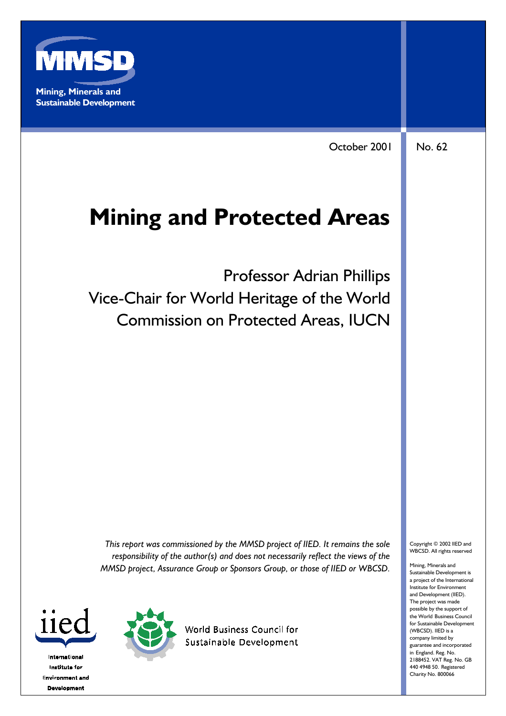

October 2001 No. 62

# **Mining and Protected Areas**

Professor Adrian Phillips Vice-Chair for World Heritage of the World Commission on Protected Areas, IUCN

*This report was commissioned by the MMSD project of IIED. It remains the sole responsibility of the author(s) and does not necessarily reflect the views of the MMSD project, Assurance Group or Sponsors Group, or those of IIED or WBCSD.*





**World Business Council for** Sustainable Development

Copyright © 2002 IIED and WBCSD. All rights reserved

Mining, Minerals and Sustainable Development is a project of the International Institute for Environment and Development (IIED). The project was made possible by the support of the World Business Council for Sustainable Development (WBCSD). IIED is a company limited by guarantee and incorporated in England. Reg. No. 2188452. VAT Reg. No. GB 440 4948 50. Registered Charity No. 800066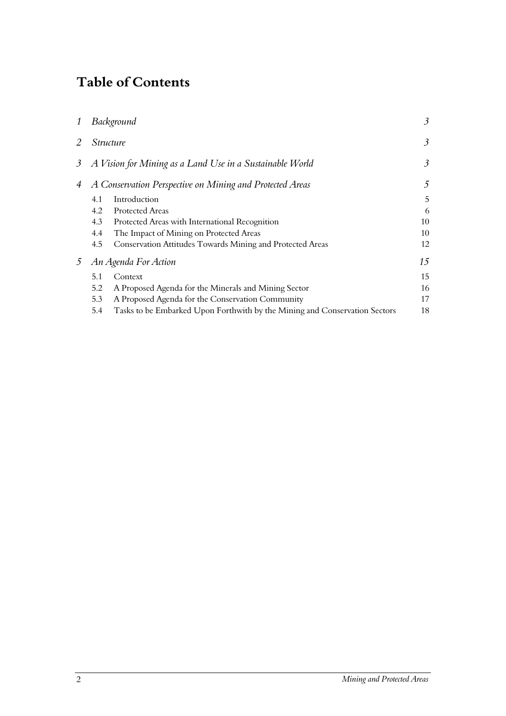# **Table of Contents**

| 1       | Background                                               |                                                                            | 3  |
|---------|----------------------------------------------------------|----------------------------------------------------------------------------|----|
| 2       | <i>Structure</i>                                         |                                                                            | 3  |
| $\beta$ | A Vision for Mining as a Land Use in a Sustainable World |                                                                            | 3  |
| 4       |                                                          | A Conservation Perspective on Mining and Protected Areas                   | 5  |
|         | 4.1                                                      | Introduction                                                               | 5  |
|         | 4.2                                                      | <b>Protected Areas</b>                                                     | 6  |
|         | 4.3                                                      | Protected Areas with International Recognition                             | 10 |
|         | 4.4                                                      | The Impact of Mining on Protected Areas                                    | 10 |
|         | 4.5                                                      | Conservation Attitudes Towards Mining and Protected Areas                  | 12 |
| 5       | An Agenda For Action                                     |                                                                            | 15 |
|         | 5.1                                                      | Context                                                                    | 15 |
|         | 5.2                                                      | A Proposed Agenda for the Minerals and Mining Sector                       | 16 |
|         | 5.3                                                      | A Proposed Agenda for the Conservation Community                           | 17 |
|         | 5.4                                                      | Tasks to be Embarked Upon Forthwith by the Mining and Conservation Sectors | 18 |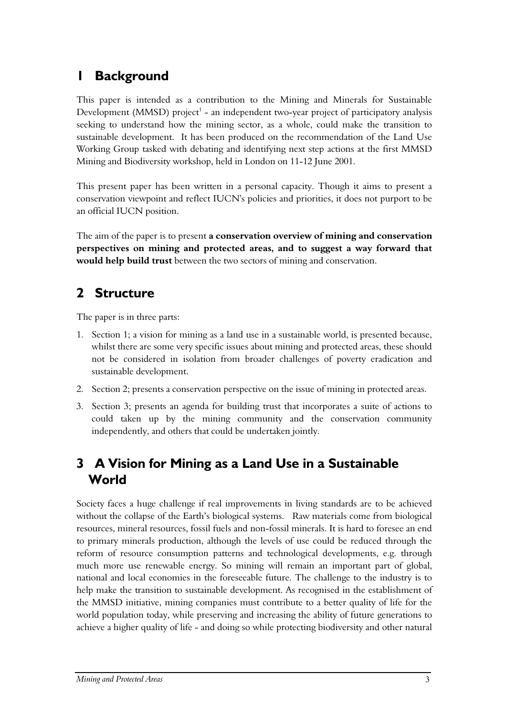# <span id="page-2-0"></span>**1 Background**

This paper is intended as a contribution to the Mining and Minerals for Sustainable Development (MMSD) project $^1$  - an independent two-year project of participatory analysis seeking to understand how the mining sector, as a whole, could make the transition to sustainable development. It has been produced on the recommendation of the Land Use Working Group tasked with debating and identifying next step actions at the first MMSD Mining and Biodiversity workshop, held in London on 11-12 June 2001.

This present paper has been written in a personal capacity. Though it aims to present a conservation viewpoint and reflect IUCN's policies and priorities, it does not purport to be an official IUCN position.

The aim of the paper is to present **a conservation overview of mining and conservation perspectives on mining and protected areas, and to suggest a way forward that would help build trust** between the two sectors of mining and conservation.

## <span id="page-2-1"></span>**2 Structure**

The paper is in three parts:

- 1. Section 1; a vision for mining as a land use in a sustainable world, is presented because, whilst there are some very specific issues about mining and protected areas, these should not be considered in isolation from broader challenges of poverty eradication and sustainable development.
- 2. Section 2; presents a conservation perspective on the issue of mining in protected areas.
- 3. Section 3; presents an agenda for building trust that incorporates a suite of actions to could taken up by the mining community and the conservation community independently, and others that could be undertaken jointly.

# <span id="page-2-2"></span>**3 A Vision for Mining as a Land Use in a Sustainable World**

Society faces a huge challenge if real improvements in living standards are to be achieved without the collapse of the Earth's biological systems. Raw materials come from biological resources, mineral resources, fossil fuels and non-fossil minerals. It is hard to foresee an end to primary minerals production, although the levels of use could be reduced through the reform of resource consumption patterns and technological developments, e.g. through much more use renewable energy. So mining will remain an important part of global, national and local economies in the foreseeable future. The challenge to the industry is to help make the transition to sustainable development. As recognised in the establishment of the MMSD initiative, mining companies must contribute to a better quality of life for the world population today, while preserving and increasing the ability of future generations to achieve a higher quality of life - and doing so while protecting biodiversity and other natural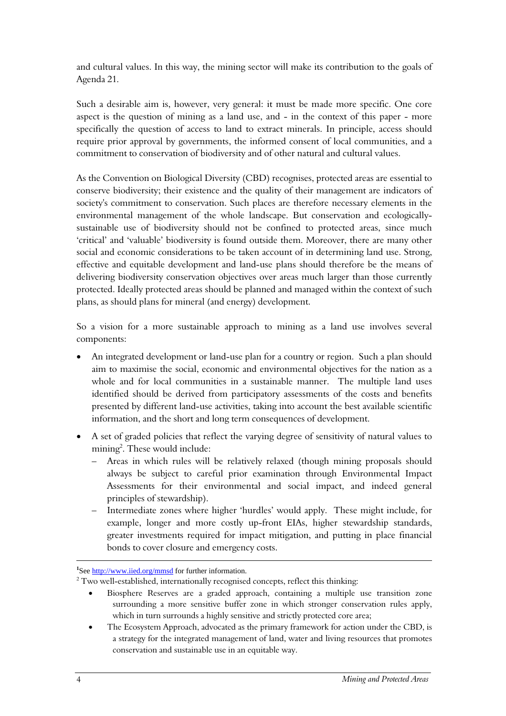and cultural values. In this way, the mining sector will make its contribution to the goals of Agenda 21.

Such a desirable aim is, however, very general: it must be made more specific. One core aspect is the question of mining as a land use, and - in the context of this paper - more specifically the question of access to land to extract minerals. In principle, access should require prior approval by governments, the informed consent of local communities, and a commitment to conservation of biodiversity and of other natural and cultural values.

As the Convention on Biological Diversity (CBD) recognises, protected areas are essential to conserve biodiversity; their existence and the quality of their management are indicators of society's commitment to conservation. Such places are therefore necessary elements in the environmental management of the whole landscape. But conservation and ecologicallysustainable use of biodiversity should not be confined to protected areas, since much 'critical' and 'valuable' biodiversity is found outside them. Moreover, there are many other social and economic considerations to be taken account of in determining land use. Strong, effective and equitable development and land-use plans should therefore be the means of delivering biodiversity conservation objectives over areas much larger than those currently protected. Ideally protected areas should be planned and managed within the context of such plans, as should plans for mineral (and energy) development.

So a vision for a more sustainable approach to mining as a land use involves several components:

- An integrated development or land-use plan for a country or region. Such a plan should aim to maximise the social, economic and environmental objectives for the nation as a whole and for local communities in a sustainable manner. The multiple land uses identified should be derived from participatory assessments of the costs and benefits presented by different land-use activities, taking into account the best available scientific information, and the short and long term consequences of development.
- A set of graded policies that reflect the varying degree of sensitivity of natural values to mining<sup>2</sup>. These would include:
	- Areas in which rules will be relatively relaxed (though mining proposals should always be subject to careful prior examination through Environmental Impact Assessments for their environmental and social impact, and indeed general principles of stewardship).
	- Intermediate zones where higher 'hurdles' would apply. These might include, for example, longer and more costly up-front EIAs, higher stewardship standards, greater investments required for impact mitigation, and putting in place financial bonds to cover closure and emergency costs.

 $\ddot{\phantom{a}}$ 

<sup>&</sup>lt;sup>1</sup>See http://www.iied.org/mmsd for further information.

 $2$  Two well-established, internationally recognised concepts, reflect this thinking:

<sup>•</sup> Biosphere Reserves are a graded approach, containing a multiple use transition zone surrounding a more sensitive buffer zone in which stronger conservation rules apply, which in turn surrounds a highly sensitive and strictly protected core area;

<sup>•</sup> The Ecosystem Approach, advocated as the primary framework for action under the CBD, is a strategy for the integrated management of land, water and living resources that promotes conservation and sustainable use in an equitable way.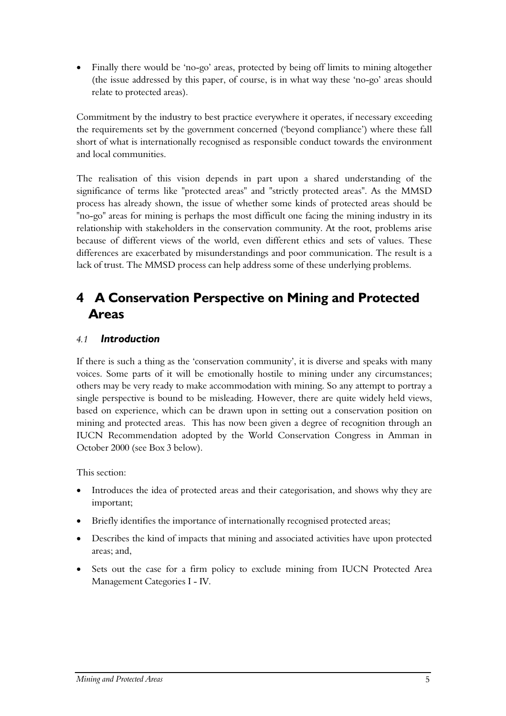• Finally there would be 'no-go' areas, protected by being off limits to mining altogether (the issue addressed by this paper, of course, is in what way these 'no-go' areas should relate to protected areas).

Commitment by the industry to best practice everywhere it operates, if necessary exceeding the requirements set by the government concerned ('beyond compliance') where these fall short of what is internationally recognised as responsible conduct towards the environment and local communities.

The realisation of this vision depends in part upon a shared understanding of the significance of terms like "protected areas" and "strictly protected areas". As the MMSD process has already shown, the issue of whether some kinds of protected areas should be "no-go" areas for mining is perhaps the most difficult one facing the mining industry in its relationship with stakeholders in the conservation community. At the root, problems arise because of different views of the world, even different ethics and sets of values. These differences are exacerbated by misunderstandings and poor communication. The result is a lack of trust. The MMSD process can help address some of these underlying problems.

# <span id="page-4-0"></span>**4 A Conservation Perspective on Mining and Protected Areas**

#### <span id="page-4-1"></span>*4.1 Introduction*

If there is such a thing as the 'conservation community', it is diverse and speaks with many voices. Some parts of it will be emotionally hostile to mining under any circumstances; others may be very ready to make accommodation with mining. So any attempt to portray a single perspective is bound to be misleading. However, there are quite widely held views, based on experience, which can be drawn upon in setting out a conservation position on mining and protected areas. This has now been given a degree of recognition through an IUCN Recommendation adopted by the World Conservation Congress in Amman in October 2000 (see Box 3 below).

This section:

- Introduces the idea of protected areas and their categorisation, and shows why they are important;
- Briefly identifies the importance of internationally recognised protected areas;
- Describes the kind of impacts that mining and associated activities have upon protected areas; and,
- Sets out the case for a firm policy to exclude mining from IUCN Protected Area Management Categories I - IV.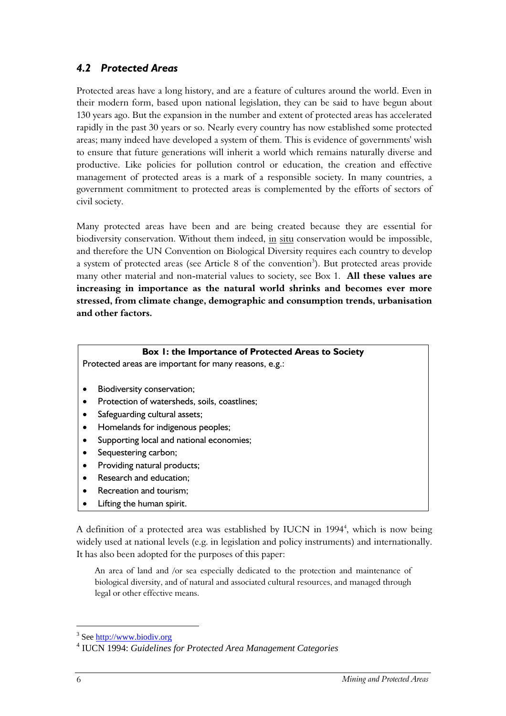### <span id="page-5-0"></span>*4.2 Protected Areas*

Protected areas have a long history, and are a feature of cultures around the world. Even in their modern form, based upon national legislation, they can be said to have begun about 130 years ago. But the expansion in the number and extent of protected areas has accelerated rapidly in the past 30 years or so. Nearly every country has now established some protected areas; many indeed have developed a system of them. This is evidence of governments' wish to ensure that future generations will inherit a world which remains naturally diverse and productive. Like policies for pollution control or education, the creation and effective management of protected areas is a mark of a responsible society. In many countries, a government commitment to protected areas is complemented by the efforts of sectors of civil society.

Many protected areas have been and are being created because they are essential for biodiversity conservation. Without them indeed, in situ conservation would be impossible, and therefore the UN Convention on Biological Diversity requires each country to develop a system of protected areas (see Article 8 of the convention<sup>3</sup>). But protected areas provide many other material and non-material values to society, see Box 1. **All these values are increasing in importance as the natural world shrinks and becomes ever more stressed, from climate change, demographic and consumption trends, urbanisation and other factors.**

#### **Box 1: the Importance of Protected Areas to Society**

Protected areas are important for many reasons, e.g.:

- Biodiversity conservation;
- Protection of watersheds, soils, coastlines;
- Safeguarding cultural assets;
- Homelands for indigenous peoples;
- Supporting local and national economies;
- Sequestering carbon;
- Providing natural products;
- Research and education;
- Recreation and tourism;
- Lifting the human spirit.

A definition of a protected area was established by IUCN in 1994<sup>4</sup>, which is now being widely used at national levels (e.g. in legislation and policy instruments) and internationally. It has also been adopted for the purposes of this paper:

An area of land and /or sea especially dedicated to the protection and maintenance of biological diversity, and of natural and associated cultural resources, and managed through legal or other effective means.

 $\ddot{\phantom{a}}$ 

 $\frac{3}{4}$  See  $\frac{\text{http://www.biodiv.org}}{1004}$ 

IUCN 1994: *Guidelines for Protected Area Management Categories*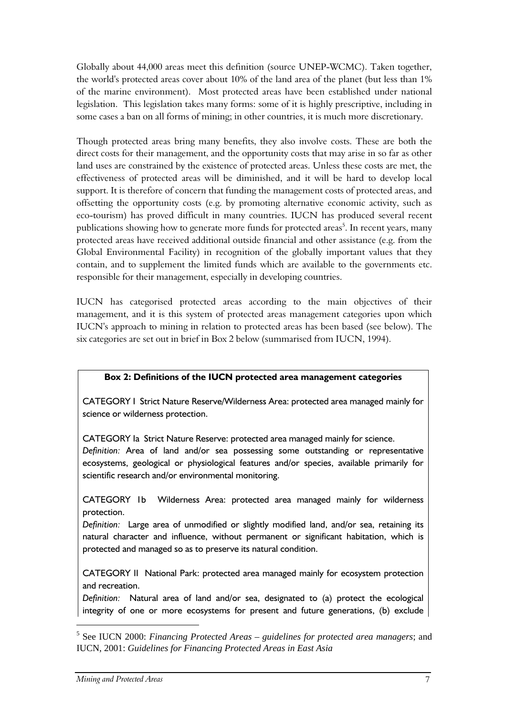Globally about 44,000 areas meet this definition (source UNEP-WCMC). Taken together, the world's protected areas cover about 10% of the land area of the planet (but less than 1% of the marine environment). Most protected areas have been established under national legislation. This legislation takes many forms: some of it is highly prescriptive, including in some cases a ban on all forms of mining; in other countries, it is much more discretionary.

Though protected areas bring many benefits, they also involve costs. These are both the direct costs for their management, and the opportunity costs that may arise in so far as other land uses are constrained by the existence of protected areas. Unless these costs are met, the effectiveness of protected areas will be diminished, and it will be hard to develop local support. It is therefore of concern that funding the management costs of protected areas, and offsetting the opportunity costs (e.g. by promoting alternative economic activity, such as eco-tourism) has proved difficult in many countries. IUCN has produced several recent publications showing how to generate more funds for protected areas<sup>5</sup>. In recent years, many protected areas have received additional outside financial and other assistance (e.g. from the Global Environmental Facility) in recognition of the globally important values that they contain, and to supplement the limited funds which are available to the governments etc. responsible for their management, especially in developing countries.

IUCN has categorised protected areas according to the main objectives of their management, and it is this system of protected areas management categories upon which IUCN's approach to mining in relation to protected areas has been based (see below). The six categories are set out in brief in Box 2 below (summarised from IUCN, 1994).

#### **Box 2: Definitions of the IUCN protected area management categories**

CATEGORY I Strict Nature Reserve/Wilderness Area: protected area managed mainly for science or wilderness protection.

CATEGORY Ia Strict Nature Reserve: protected area managed mainly for science.

*Definition:* Area of land and/or sea possessing some outstanding or representative ecosystems, geological or physiological features and/or species, available primarily for scientific research and/or environmental monitoring.

CATEGORY 1b Wilderness Area: protected area managed mainly for wilderness protection.

*Definition:* Large area of unmodified or slightly modified land, and/or sea, retaining its natural character and influence, without permanent or significant habitation, which is protected and managed so as to preserve its natural condition.

CATEGORY II National Park: protected area managed mainly for ecosystem protection and recreation.

*Definition:* Natural area of land and/or sea, designated to (a) protect the ecological integrity of one or more ecosystems for present and future generations, (b) exclude

 $\overline{a}$ 

<sup>5</sup> See IUCN 2000: *Financing Protected Areas – guidelines for protected area managers*; and IUCN, 2001: *Guidelines for Financing Protected Areas in East Asia*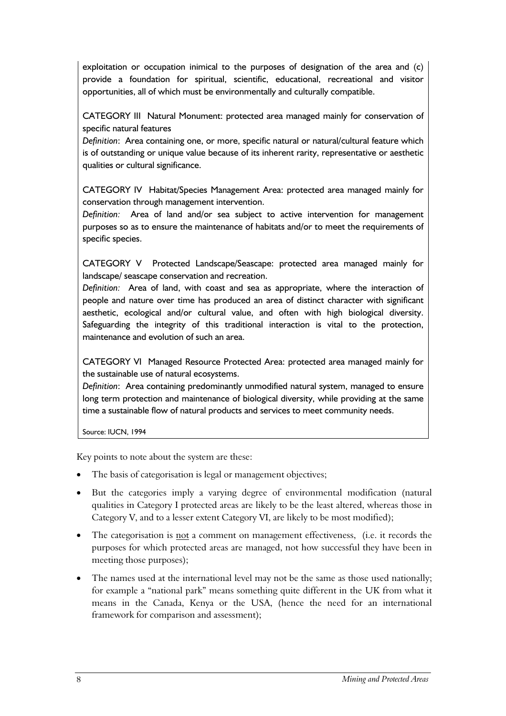exploitation or occupation inimical to the purposes of designation of the area and (c) provide a foundation for spiritual, scientific, educational, recreational and visitor opportunities, all of which must be environmentally and culturally compatible.

CATEGORY III Natural Monument: protected area managed mainly for conservation of specific natural features

*Definition*: Area containing one, or more, specific natural or natural/cultural feature which is of outstanding or unique value because of its inherent rarity, representative or aesthetic qualities or cultural significance.

CATEGORY IV Habitat/Species Management Area: protected area managed mainly for conservation through management intervention.

*Definition:* Area of land and/or sea subject to active intervention for management purposes so as to ensure the maintenance of habitats and/or to meet the requirements of specific species.

CATEGORY V Protected Landscape/Seascape: protected area managed mainly for landscape/ seascape conservation and recreation.

*Definition:* Area of land, with coast and sea as appropriate, where the interaction of people and nature over time has produced an area of distinct character with significant aesthetic, ecological and/or cultural value, and often with high biological diversity. Safeguarding the integrity of this traditional interaction is vital to the protection, maintenance and evolution of such an area.

CATEGORY VI Managed Resource Protected Area: protected area managed mainly for the sustainable use of natural ecosystems.

*Definition*: Area containing predominantly unmodified natural system, managed to ensure long term protection and maintenance of biological diversity, while providing at the same time a sustainable flow of natural products and services to meet community needs.

Source: IUCN, 1994

Key points to note about the system are these:

- The basis of categorisation is legal or management objectives;
- But the categories imply a varying degree of environmental modification (natural qualities in Category I protected areas are likely to be the least altered, whereas those in Category V, and to a lesser extent Category VI, are likely to be most modified);
- The categorisation is not a comment on management effectiveness, (i.e. it records the purposes for which protected areas are managed, not how successful they have been in meeting those purposes);
- The names used at the international level may not be the same as those used nationally; for example a "national park" means something quite different in the UK from what it means in the Canada, Kenya or the USA, (hence the need for an international framework for comparison and assessment);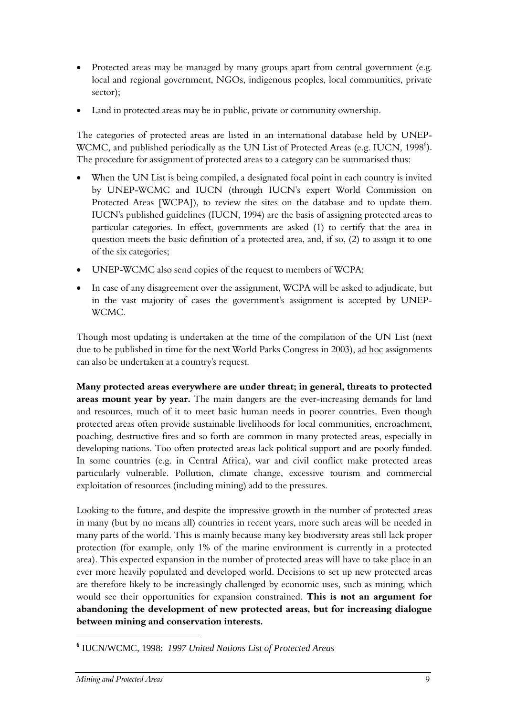- Protected areas may be managed by many groups apart from central government (e.g. local and regional government, NGOs, indigenous peoples, local communities, private sector);
- Land in protected areas may be in public, private or community ownership.

The categories of protected areas are listed in an international database held by UNEP-WCMC, and published periodically as the UN List of Protected Areas (e.g. IUCN, 1998<sup>6</sup>). The procedure for assignment of protected areas to a category can be summarised thus:

- When the UN List is being compiled, a designated focal point in each country is invited by UNEP-WCMC and IUCN (through IUCN's expert World Commission on Protected Areas [WCPA]), to review the sites on the database and to update them. IUCN's published guidelines (IUCN, 1994) are the basis of assigning protected areas to particular categories. In effect, governments are asked (1) to certify that the area in question meets the basic definition of a protected area, and, if so, (2) to assign it to one of the six categories;
- UNEP-WCMC also send copies of the request to members of WCPA;
- In case of any disagreement over the assignment, WCPA will be asked to adjudicate, but in the vast majority of cases the government's assignment is accepted by UNEP-WCMC.

Though most updating is undertaken at the time of the compilation of the UN List (next due to be published in time for the next World Parks Congress in 2003), ad hoc assignments can also be undertaken at a country's request.

**Many protected areas everywhere are under threat; in general, threats to protected areas mount year by year.** The main dangers are the ever-increasing demands for land and resources, much of it to meet basic human needs in poorer countries. Even though protected areas often provide sustainable livelihoods for local communities, encroachment, poaching, destructive fires and so forth are common in many protected areas, especially in developing nations. Too often protected areas lack political support and are poorly funded. In some countries (e.g. in Central Africa), war and civil conflict make protected areas particularly vulnerable. Pollution, climate change, excessive tourism and commercial exploitation of resources (including mining) add to the pressures.

Looking to the future, and despite the impressive growth in the number of protected areas in many (but by no means all) countries in recent years, more such areas will be needed in many parts of the world. This is mainly because many key biodiversity areas still lack proper protection (for example, only 1% of the marine environment is currently in a protected area). This expected expansion in the number of protected areas will have to take place in an ever more heavily populated and developed world. Decisions to set up new protected areas are therefore likely to be increasingly challenged by economic uses, such as mining, which would see their opportunities for expansion constrained. **This is not an argument for abandoning the development of new protected areas, but for increasing dialogue between mining and conservation interests.**

 $\overline{a}$ 

**<sup>6</sup>** IUCN/WCMC, 1998: *1997 United Nations List of Protected Areas*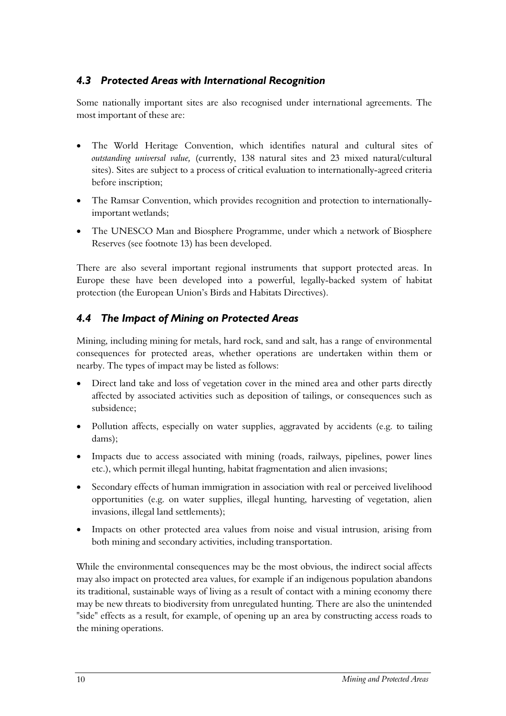#### <span id="page-9-0"></span>*4.3 Protected Areas with International Recognition*

Some nationally important sites are also recognised under international agreements. The most important of these are:

- The World Heritage Convention, which identifies natural and cultural sites of *outstanding universal value,* (currently, 138 natural sites and 23 mixed natural/cultural sites). Sites are subject to a process of critical evaluation to internationally-agreed criteria before inscription;
- The Ramsar Convention, which provides recognition and protection to internationallyimportant wetlands;
- The UNESCO Man and Biosphere Programme, under which a network of Biosphere Reserves (see footnote 13) has been developed.

There are also several important regional instruments that support protected areas. In Europe these have been developed into a powerful, legally-backed system of habitat protection (the European Union's Birds and Habitats Directives).

### <span id="page-9-1"></span>*4.4 The Impact of Mining on Protected Areas*

Mining, including mining for metals, hard rock, sand and salt, has a range of environmental consequences for protected areas, whether operations are undertaken within them or nearby. The types of impact may be listed as follows:

- Direct land take and loss of vegetation cover in the mined area and other parts directly affected by associated activities such as deposition of tailings, or consequences such as subsidence;
- Pollution affects, especially on water supplies, aggravated by accidents (e.g. to tailing dams);
- Impacts due to access associated with mining (roads, railways, pipelines, power lines etc.), which permit illegal hunting, habitat fragmentation and alien invasions;
- Secondary effects of human immigration in association with real or perceived livelihood opportunities (e.g. on water supplies, illegal hunting, harvesting of vegetation, alien invasions, illegal land settlements);
- Impacts on other protected area values from noise and visual intrusion, arising from both mining and secondary activities, including transportation.

While the environmental consequences may be the most obvious, the indirect social affects may also impact on protected area values, for example if an indigenous population abandons its traditional, sustainable ways of living as a result of contact with a mining economy there may be new threats to biodiversity from unregulated hunting. There are also the unintended "side" effects as a result, for example, of opening up an area by constructing access roads to the mining operations.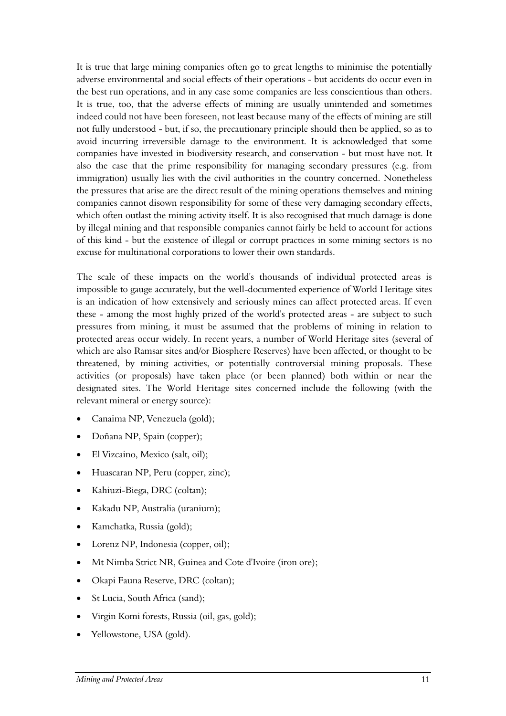It is true that large mining companies often go to great lengths to minimise the potentially adverse environmental and social effects of their operations - but accidents do occur even in the best run operations, and in any case some companies are less conscientious than others. It is true, too, that the adverse effects of mining are usually unintended and sometimes indeed could not have been foreseen, not least because many of the effects of mining are still not fully understood - but, if so, the precautionary principle should then be applied, so as to avoid incurring irreversible damage to the environment. It is acknowledged that some companies have invested in biodiversity research, and conservation - but most have not. It also the case that the prime responsibility for managing secondary pressures (e.g. from immigration) usually lies with the civil authorities in the country concerned. Nonetheless the pressures that arise are the direct result of the mining operations themselves and mining companies cannot disown responsibility for some of these very damaging secondary effects, which often outlast the mining activity itself. It is also recognised that much damage is done by illegal mining and that responsible companies cannot fairly be held to account for actions of this kind - but the existence of illegal or corrupt practices in some mining sectors is no excuse for multinational corporations to lower their own standards.

The scale of these impacts on the world's thousands of individual protected areas is impossible to gauge accurately, but the well-documented experience of World Heritage sites is an indication of how extensively and seriously mines can affect protected areas. If even these - among the most highly prized of the world's protected areas - are subject to such pressures from mining, it must be assumed that the problems of mining in relation to protected areas occur widely. In recent years, a number of World Heritage sites (several of which are also Ramsar sites and/or Biosphere Reserves) have been affected, or thought to be threatened, by mining activities, or potentially controversial mining proposals. These activities (or proposals) have taken place (or been planned) both within or near the designated sites. The World Heritage sites concerned include the following (with the relevant mineral or energy source):

- Canaima NP, Venezuela (gold);
- Doñana NP, Spain (copper);
- El Vizcaino, Mexico (salt, oil);
- Huascaran NP, Peru (copper, zinc);
- Kahiuzi-Biega, DRC (coltan);
- Kakadu NP, Australia (uranium);
- Kamchatka, Russia (gold);
- Lorenz NP, Indonesia (copper, oil);
- Mt Nimba Strict NR, Guinea and Cote d'Ivoire (iron ore);
- Okapi Fauna Reserve, DRC (coltan);
- St Lucia, South Africa (sand);
- Virgin Komi forests, Russia (oil, gas, gold);
- Yellowstone, USA (gold).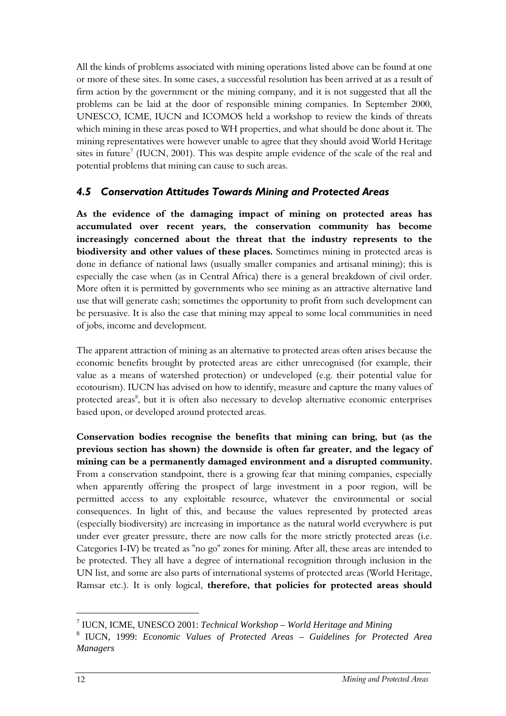All the kinds of problems associated with mining operations listed above can be found at one or more of these sites. In some cases, a successful resolution has been arrived at as a result of firm action by the government or the mining company, and it is not suggested that all the problems can be laid at the door of responsible mining companies. In September 2000, UNESCO, ICME, IUCN and ICOMOS held a workshop to review the kinds of threats which mining in these areas posed to WH properties, and what should be done about it. The mining representatives were however unable to agree that they should avoid World Heritage sites in future<sup>7</sup> (IUCN, 2001). This was despite ample evidence of the scale of the real and potential problems that mining can cause to such areas.

#### <span id="page-11-0"></span>*4.5 Conservation Attitudes Towards Mining and Protected Areas*

**As the evidence of the damaging impact of mining on protected areas has accumulated over recent years, the conservation community has become increasingly concerned about the threat that the industry represents to the biodiversity and other values of these places.** Sometimes mining in protected areas is done in defiance of national laws (usually smaller companies and artisanal mining); this is especially the case when (as in Central Africa) there is a general breakdown of civil order. More often it is permitted by governments who see mining as an attractive alternative land use that will generate cash; sometimes the opportunity to profit from such development can be persuasive. It is also the case that mining may appeal to some local communities in need of jobs, income and development.

The apparent attraction of mining as an alternative to protected areas often arises because the economic benefits brought by protected areas are either unrecognised (for example, their value as a means of watershed protection) or undeveloped (e.g. their potential value for ecotourism). IUCN has advised on how to identify, measure and capture the many values of protected areas<sup>8</sup>, but it is often also necessary to develop alternative economic enterprises based upon, or developed around protected areas.

**Conservation bodies recognise the benefits that mining can bring, but (as the previous section has shown) the downside is often far greater, and the legacy of mining can be a permanently damaged environment and a disrupted community.** From a conservation standpoint, there is a growing fear that mining companies, especially when apparently offering the prospect of large investment in a poor region, will be permitted access to any exploitable resource, whatever the environmental or social consequences. In light of this, and because the values represented by protected areas (especially biodiversity) are increasing in importance as the natural world everywhere is put under ever greater pressure, there are now calls for the more strictly protected areas (i.e. Categories I-IV) be treated as "no go" zones for mining. After all, these areas are intended to be protected. They all have a degree of international recognition through inclusion in the UN list, and some are also parts of international systems of protected areas (World Heritage, Ramsar etc.). It is only logical, **therefore, that policies for protected areas should** 

1

<sup>7</sup> IUCN, ICME, UNESCO 2001: *Technical Workshop – World Heritage and Mining* 

<sup>8</sup> IUCN, 1999: *Economic Values of Protected Areas – Guidelines for Protected Area Managers*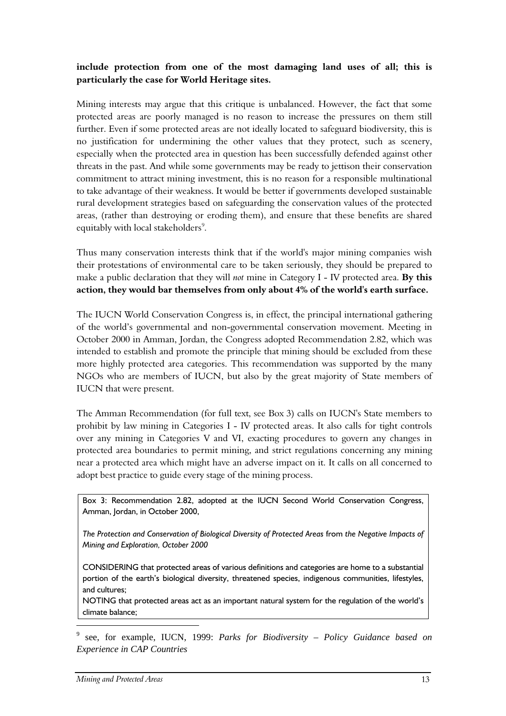#### **include protection from one of the most damaging land uses of all; this is particularly the case for World Heritage sites.**

Mining interests may argue that this critique is unbalanced. However, the fact that some protected areas are poorly managed is no reason to increase the pressures on them still further. Even if some protected areas are not ideally located to safeguard biodiversity, this is no justification for undermining the other values that they protect, such as scenery, especially when the protected area in question has been successfully defended against other threats in the past. And while some governments may be ready to jettison their conservation commitment to attract mining investment, this is no reason for a responsible multinational to take advantage of their weakness. It would be better if governments developed sustainable rural development strategies based on safeguarding the conservation values of the protected areas, (rather than destroying or eroding them), and ensure that these benefits are shared equitably with local stakeholders<sup>9</sup>.

Thus many conservation interests think that if the world's major mining companies wish their protestations of environmental care to be taken seriously, they should be prepared to make a public declaration that they will *not* mine in Category I - IV protected area. **By this action, they would bar themselves from only about 4% of the world's earth surface.**

The IUCN World Conservation Congress is, in effect, the principal international gathering of the world's governmental and non-governmental conservation movement. Meeting in October 2000 in Amman, Jordan, the Congress adopted Recommendation 2.82, which was intended to establish and promote the principle that mining should be excluded from these more highly protected area categories. This recommendation was supported by the many NGOs who are members of IUCN, but also by the great majority of State members of IUCN that were present.

The Amman Recommendation (for full text, see Box 3) calls on IUCN's State members to prohibit by law mining in Categories I - IV protected areas. It also calls for tight controls over any mining in Categories V and VI, exacting procedures to govern any changes in protected area boundaries to permit mining, and strict regulations concerning any mining near a protected area which might have an adverse impact on it. It calls on all concerned to adopt best practice to guide every stage of the mining process.

Box 3: Recommendation 2.82, adopted at the IUCN Second World Conservation Congress, Amman, Jordan, in October 2000,

*The Protection and Conservation of Biological Diversity of Protected Areas* from *the Negative Impacts of Mining and Exploration, October 2000* 

CONSIDERING that protected areas of various definitions and categories are home to a substantial portion of the earth's biological diversity, threatened species, indigenous communities, lifestyles, and cultures;

NOTING that protected areas act as an important natural system for the regulation of the world's climate balance;

9 see, for example, IUCN, 1999: *Parks for Biodiversity – Policy Guidance based on Experience in CAP Countries* 

1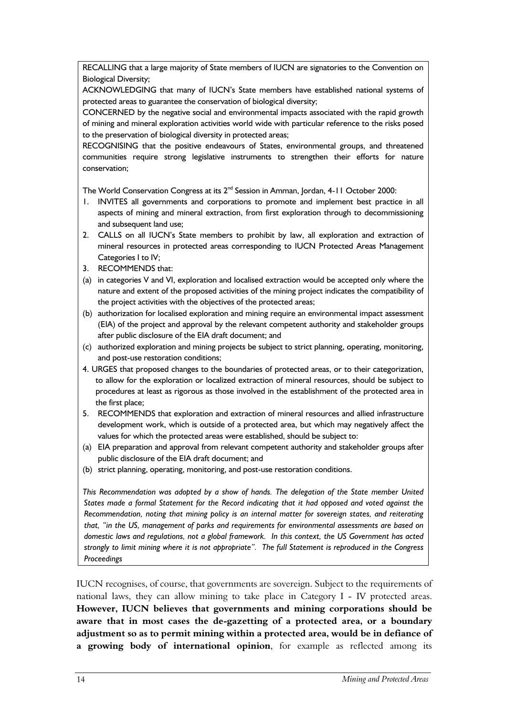RECALLING that a large majority of State members of IUCN are signatories to the Convention on Biological Diversity;

ACKNOWLEDGING that many of IUCN's State members have established national systems of protected areas to guarantee the conservation of biological diversity;

CONCERNED by the negative social and environmental impacts associated with the rapid growth of mining and mineral exploration activities world wide with particular reference to the risks posed to the preservation of biological diversity in protected areas;

RECOGNISING that the positive endeavours of States, environmental groups, and threatened communities require strong legislative instruments to strengthen their efforts for nature conservation;

The World Conservation Congress at its 2<sup>nd</sup> Session in Amman, Jordan, 4-11 October 2000:

- 1. INVITES all governments and corporations to promote and implement best practice in all aspects of mining and mineral extraction, from first exploration through to decommissioning and subsequent land use;
- 2. CALLS on all IUCN's State members to prohibit by law, all exploration and extraction of mineral resources in protected areas corresponding to IUCN Protected Areas Management Categories I to IV;
- 3. RECOMMENDS that:
- (a) in categories V and VI, exploration and localised extraction would be accepted only where the nature and extent of the proposed activities of the mining project indicates the compatibility of the project activities with the objectives of the protected areas;
- (b) authorization for localised exploration and mining require an environmental impact assessment (EIA) of the project and approval by the relevant competent authority and stakeholder groups after public disclosure of the EIA draft document; and
- (c) authorized exploration and mining projects be subject to strict planning, operating, monitoring, and post-use restoration conditions;
- 4. URGES that proposed changes to the boundaries of protected areas, or to their categorization, to allow for the exploration or localized extraction of mineral resources, should be subject to procedures at least as rigorous as those involved in the establishment of the protected area in the first place;
- 5. RECOMMENDS that exploration and extraction of mineral resources and allied infrastructure development work, which is outside of a protected area, but which may negatively affect the values for which the protected areas were established, should be subject to:
- (a) EIA preparation and approval from relevant competent authority and stakeholder groups after public disclosure of the EIA draft document; and
- (b) strict planning, operating, monitoring, and post-use restoration conditions.

*This Recommendation was adopted by a show of hands. The delegation of the State member United States made a formal Statement for the Record indicating that it had opposed and voted against the Recommendation, noting that mining policy is an internal matter for sovereign states, and reiterating that, "in the US, management of parks and requirements for environmental assessments are based on domestic laws and regulations, not a global framework. In this context, the US Government has acted strongly to limit mining where it is not appropriate". The full Statement is reproduced in the Congress Proceedings*

IUCN recognises, of course, that governments are sovereign. Subject to the requirements of national laws, they can allow mining to take place in Category I - IV protected areas. **However, IUCN believes that governments and mining corporations should be aware that in most cases the de-gazetting of a protected area, or a boundary adjustment so as to permit mining within a protected area, would be in defiance of a growing body of international opinion**, for example as reflected among its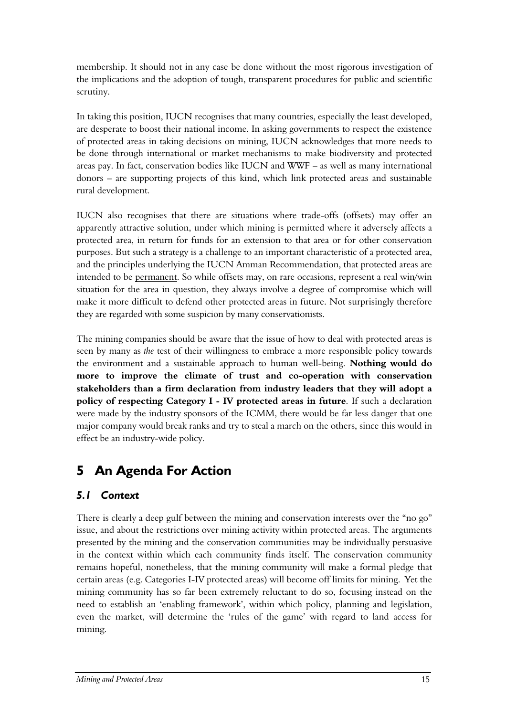membership. It should not in any case be done without the most rigorous investigation of the implications and the adoption of tough, transparent procedures for public and scientific scrutiny.

In taking this position, IUCN recognises that many countries, especially the least developed, are desperate to boost their national income. In asking governments to respect the existence of protected areas in taking decisions on mining, IUCN acknowledges that more needs to be done through international or market mechanisms to make biodiversity and protected areas pay. In fact, conservation bodies like IUCN and WWF – as well as many international donors – are supporting projects of this kind, which link protected areas and sustainable rural development.

IUCN also recognises that there are situations where trade-offs (offsets) may offer an apparently attractive solution, under which mining is permitted where it adversely affects a protected area, in return for funds for an extension to that area or for other conservation purposes. But such a strategy is a challenge to an important characteristic of a protected area, and the principles underlying the IUCN Amman Recommendation, that protected areas are intended to be permanent. So while offsets may, on rare occasions, represent a real win/win situation for the area in question, they always involve a degree of compromise which will make it more difficult to defend other protected areas in future. Not surprisingly therefore they are regarded with some suspicion by many conservationists.

The mining companies should be aware that the issue of how to deal with protected areas is seen by many as *the* test of their willingness to embrace a more responsible policy towards the environment and a sustainable approach to human well-being. **Nothing would do more to improve the climate of trust and co-operation with conservation stakeholders than a firm declaration from industry leaders that they will adopt a policy of respecting Category I - IV protected areas in future**. If such a declaration were made by the industry sponsors of the ICMM, there would be far less danger that one major company would break ranks and try to steal a march on the others, since this would in effect be an industry-wide policy.

# <span id="page-14-0"></span>**5 An Agenda For Action**

### <span id="page-14-1"></span>*5.1 Context*

There is clearly a deep gulf between the mining and conservation interests over the "no go" issue, and about the restrictions over mining activity within protected areas. The arguments presented by the mining and the conservation communities may be individually persuasive in the context within which each community finds itself. The conservation community remains hopeful, nonetheless, that the mining community will make a formal pledge that certain areas (e.g. Categories I-IV protected areas) will become off limits for mining. Yet the mining community has so far been extremely reluctant to do so, focusing instead on the need to establish an 'enabling framework', within which policy, planning and legislation, even the market, will determine the 'rules of the game' with regard to land access for mining.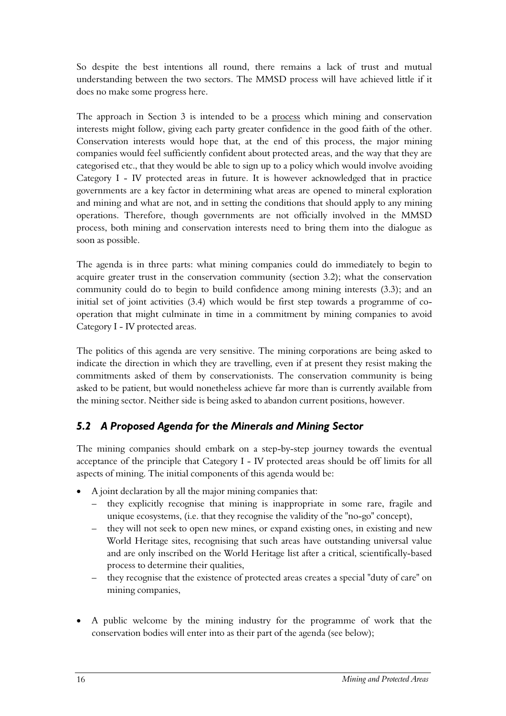So despite the best intentions all round, there remains a lack of trust and mutual understanding between the two sectors. The MMSD process will have achieved little if it does no make some progress here.

The approach in Section 3 is intended to be a process which mining and conservation interests might follow, giving each party greater confidence in the good faith of the other. Conservation interests would hope that, at the end of this process, the major mining companies would feel sufficiently confident about protected areas, and the way that they are categorised etc., that they would be able to sign up to a policy which would involve avoiding Category I - IV protected areas in future. It is however acknowledged that in practice governments are a key factor in determining what areas are opened to mineral exploration and mining and what are not, and in setting the conditions that should apply to any mining operations. Therefore, though governments are not officially involved in the MMSD process, both mining and conservation interests need to bring them into the dialogue as soon as possible.

The agenda is in three parts: what mining companies could do immediately to begin to acquire greater trust in the conservation community (section 3.2); what the conservation community could do to begin to build confidence among mining interests (3.3); and an initial set of joint activities (3.4) which would be first step towards a programme of cooperation that might culminate in time in a commitment by mining companies to avoid Category I - IV protected areas.

The politics of this agenda are very sensitive. The mining corporations are being asked to indicate the direction in which they are travelling, even if at present they resist making the commitments asked of them by conservationists. The conservation community is being asked to be patient, but would nonetheless achieve far more than is currently available from the mining sector. Neither side is being asked to abandon current positions, however.

### <span id="page-15-0"></span>*5.2 A Proposed Agenda for the Minerals and Mining Sector*

The mining companies should embark on a step-by-step journey towards the eventual acceptance of the principle that Category I - IV protected areas should be off limits for all aspects of mining. The initial components of this agenda would be:

- A joint declaration by all the major mining companies that:
	- they explicitly recognise that mining is inappropriate in some rare, fragile and unique ecosystems, (i.e. that they recognise the validity of the "no-go" concept),
	- they will not seek to open new mines, or expand existing ones, in existing and new World Heritage sites, recognising that such areas have outstanding universal value and are only inscribed on the World Heritage list after a critical, scientifically-based process to determine their qualities,
	- they recognise that the existence of protected areas creates a special "duty of care" on mining companies,
- A public welcome by the mining industry for the programme of work that the conservation bodies will enter into as their part of the agenda (see below);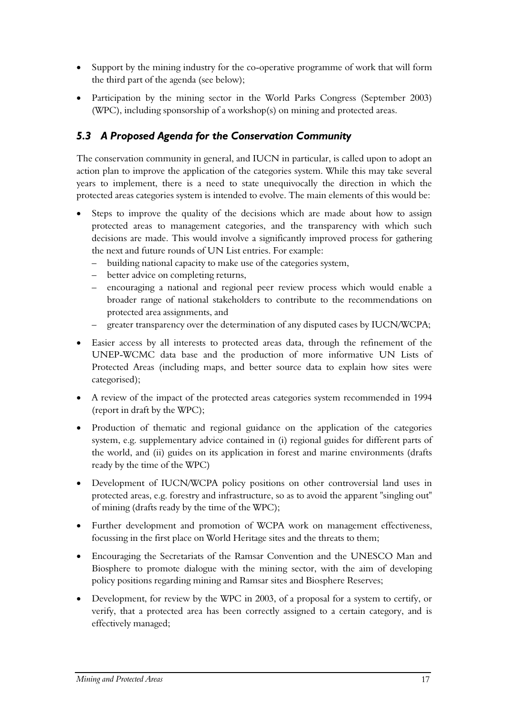- Support by the mining industry for the co-operative programme of work that will form the third part of the agenda (see below);
- Participation by the mining sector in the World Parks Congress (September 2003) (WPC), including sponsorship of a workshop(s) on mining and protected areas.

### <span id="page-16-0"></span>*5.3 A Proposed Agenda for the Conservation Community*

The conservation community in general, and IUCN in particular, is called upon to adopt an action plan to improve the application of the categories system. While this may take several years to implement, there is a need to state unequivocally the direction in which the protected areas categories system is intended to evolve. The main elements of this would be:

- Steps to improve the quality of the decisions which are made about how to assign protected areas to management categories, and the transparency with which such decisions are made. This would involve a significantly improved process for gathering the next and future rounds of UN List entries. For example:
	- building national capacity to make use of the categories system,
	- better advice on completing returns,
	- encouraging a national and regional peer review process which would enable a broader range of national stakeholders to contribute to the recommendations on protected area assignments, and
	- greater transparency over the determination of any disputed cases by IUCN/WCPA;
- Easier access by all interests to protected areas data, through the refinement of the UNEP-WCMC data base and the production of more informative UN Lists of Protected Areas (including maps, and better source data to explain how sites were categorised);
- A review of the impact of the protected areas categories system recommended in 1994 (report in draft by the WPC);
- Production of thematic and regional guidance on the application of the categories system, e.g. supplementary advice contained in (i) regional guides for different parts of the world, and (ii) guides on its application in forest and marine environments (drafts ready by the time of the WPC)
- Development of IUCN/WCPA policy positions on other controversial land uses in protected areas, e.g. forestry and infrastructure, so as to avoid the apparent "singling out" of mining (drafts ready by the time of the WPC);
- Further development and promotion of WCPA work on management effectiveness, focussing in the first place on World Heritage sites and the threats to them;
- Encouraging the Secretariats of the Ramsar Convention and the UNESCO Man and Biosphere to promote dialogue with the mining sector, with the aim of developing policy positions regarding mining and Ramsar sites and Biosphere Reserves;
- Development, for review by the WPC in 2003, of a proposal for a system to certify, or verify, that a protected area has been correctly assigned to a certain category, and is effectively managed;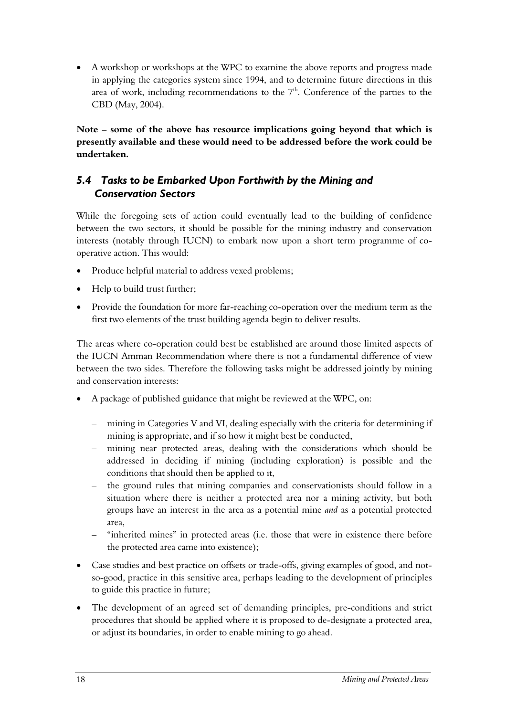• A workshop or workshops at the WPC to examine the above reports and progress made in applying the categories system since 1994, and to determine future directions in this area of work, including recommendations to the  $7<sup>th</sup>$ . Conference of the parties to the CBD (May, 2004).

**Note – some of the above has resource implications going beyond that which is presently available and these would need to be addressed before the work could be undertaken.** 

### <span id="page-17-0"></span>*5.4 Tasks to be Embarked Upon Forthwith by the Mining and Conservation Sectors*

While the foregoing sets of action could eventually lead to the building of confidence between the two sectors, it should be possible for the mining industry and conservation interests (notably through IUCN) to embark now upon a short term programme of cooperative action. This would:

- Produce helpful material to address vexed problems;
- Help to build trust further;
- Provide the foundation for more far-reaching co-operation over the medium term as the first two elements of the trust building agenda begin to deliver results.

The areas where co-operation could best be established are around those limited aspects of the IUCN Amman Recommendation where there is not a fundamental difference of view between the two sides. Therefore the following tasks might be addressed jointly by mining and conservation interests:

- A package of published guidance that might be reviewed at the WPC, on:
	- mining in Categories V and VI, dealing especially with the criteria for determining if mining is appropriate, and if so how it might best be conducted,
	- mining near protected areas, dealing with the considerations which should be addressed in deciding if mining (including exploration) is possible and the conditions that should then be applied to it,
	- the ground rules that mining companies and conservationists should follow in a situation where there is neither a protected area nor a mining activity, but both groups have an interest in the area as a potential mine *and* as a potential protected area,
	- "inherited mines" in protected areas (i.e. those that were in existence there before the protected area came into existence);
- Case studies and best practice on offsets or trade-offs, giving examples of good, and notso-good, practice in this sensitive area, perhaps leading to the development of principles to guide this practice in future;
- The development of an agreed set of demanding principles, pre-conditions and strict procedures that should be applied where it is proposed to de-designate a protected area, or adjust its boundaries, in order to enable mining to go ahead.